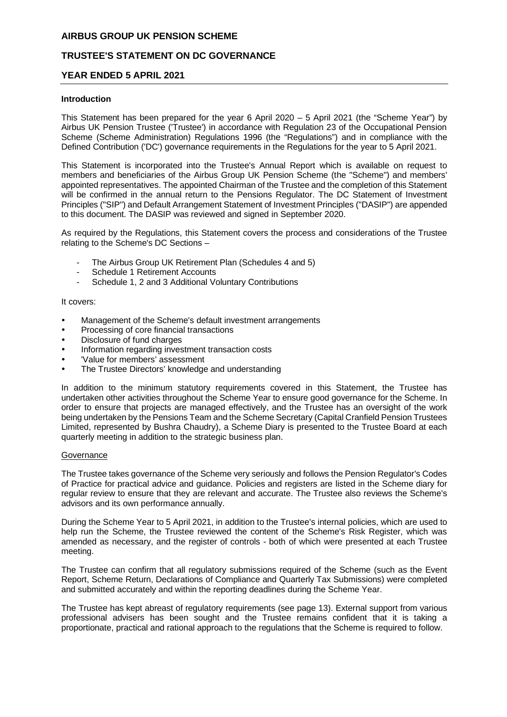# **TRUSTEE'S STATEMENT ON DC GOVERNANCE**

### **YEAR ENDED 5 APRIL 2021**

#### **Introduction**

This Statement has been prepared for the year 6 April 2020 – 5 April 2021 (the "Scheme Year") by Airbus UK Pension Trustee ('Trustee') in accordance with Regulation 23 of the Occupational Pension Scheme (Scheme Administration) Regulations 1996 (the "Regulations") and in compliance with the Defined Contribution ('DC') governance requirements in the Regulations for the year to 5 April 2021.

This Statement is incorporated into the Trustee's Annual Report which is available on request to members and beneficiaries of the Airbus Group UK Pension Scheme (the "Scheme") and members' appointed representatives. The appointed Chairman of the Trustee and the completion of this Statement will be confirmed in the annual return to the Pensions Regulator. The DC Statement of Investment Principles ("SIP") and Default Arrangement Statement of Investment Principles ("DASIP") are appended to this document. The DASIP was reviewed and signed in September 2020.

As required by the Regulations, this Statement covers the process and considerations of the Trustee relating to the Scheme's DC Sections –

- The Airbus Group UK Retirement Plan (Schedules 4 and 5)
- Schedule 1 Retirement Accounts
- Schedule 1, 2 and 3 Additional Voluntary Contributions

#### It covers:

- Management of the Scheme's default investment arrangements
- Processing of core financial transactions
- Disclosure of fund charges
- Information regarding investment transaction costs
- 'Value for members' assessment
- The Trustee Directors' knowledge and understanding

In addition to the minimum statutory requirements covered in this Statement, the Trustee has undertaken other activities throughout the Scheme Year to ensure good governance for the Scheme. In order to ensure that projects are managed effectively, and the Trustee has an oversight of the work being undertaken by the Pensions Team and the Scheme Secretary (Capital Cranfield Pension Trustees Limited, represented by Bushra Chaudry), a Scheme Diary is presented to the Trustee Board at each quarterly meeting in addition to the strategic business plan.

#### **Governance**

The Trustee takes governance of the Scheme very seriously and follows the Pension Regulator's Codes of Practice for practical advice and guidance. Policies and registers are listed in the Scheme diary for regular review to ensure that they are relevant and accurate. The Trustee also reviews the Scheme's advisors and its own performance annually.

During the Scheme Year to 5 April 2021, in addition to the Trustee's internal policies, which are used to help run the Scheme, the Trustee reviewed the content of the Scheme's Risk Register, which was amended as necessary, and the register of controls - both of which were presented at each Trustee meeting.

The Trustee can confirm that all regulatory submissions required of the Scheme (such as the Event Report, Scheme Return, Declarations of Compliance and Quarterly Tax Submissions) were completed and submitted accurately and within the reporting deadlines during the Scheme Year.

The Trustee has kept abreast of regulatory requirements (see page 13). External support from various professional advisers has been sought and the Trustee remains confident that it is taking a proportionate, practical and rational approach to the regulations that the Scheme is required to follow.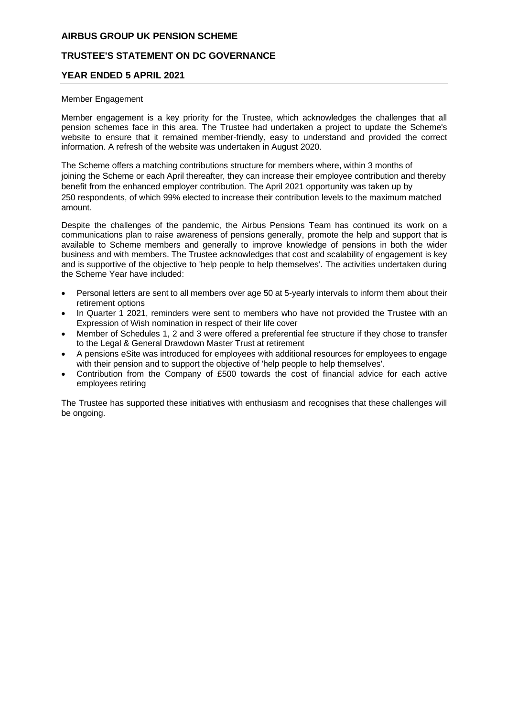# **TRUSTEE'S STATEMENT ON DC GOVERNANCE**

#### **YEAR ENDED 5 APRIL 2021**

#### Member Engagement

Member engagement is a key priority for the Trustee, which acknowledges the challenges that all pension schemes face in this area. The Trustee had undertaken a project to update the Scheme's website to ensure that it remained member-friendly, easy to understand and provided the correct information. A refresh of the website was undertaken in August 2020.

The Scheme offers a matching contributions structure for members where, within 3 months of joining the Scheme or each April thereafter, they can increase their employee contribution and thereby benefit from the enhanced employer contribution. The April 2021 opportunity was taken up by 250 respondents, of which 99% elected to increase their contribution levels to the maximum matched amount.

Despite the challenges of the pandemic, the Airbus Pensions Team has continued its work on a communications plan to raise awareness of pensions generally, promote the help and support that is available to Scheme members and generally to improve knowledge of pensions in both the wider business and with members. The Trustee acknowledges that cost and scalability of engagement is key and is supportive of the objective to 'help people to help themselves'. The activities undertaken during the Scheme Year have included:

- Personal letters are sent to all members over age 50 at 5-yearly intervals to inform them about their retirement options
- In Quarter 1 2021, reminders were sent to members who have not provided the Trustee with an Expression of Wish nomination in respect of their life cover
- Member of Schedules 1, 2 and 3 were offered a preferential fee structure if they chose to transfer to the Legal & General Drawdown Master Trust at retirement
- A pensions eSite was introduced for employees with additional resources for employees to engage with their pension and to support the objective of 'help people to help themselves'.
- Contribution from the Company of £500 towards the cost of financial advice for each active employees retiring

The Trustee has supported these initiatives with enthusiasm and recognises that these challenges will be ongoing.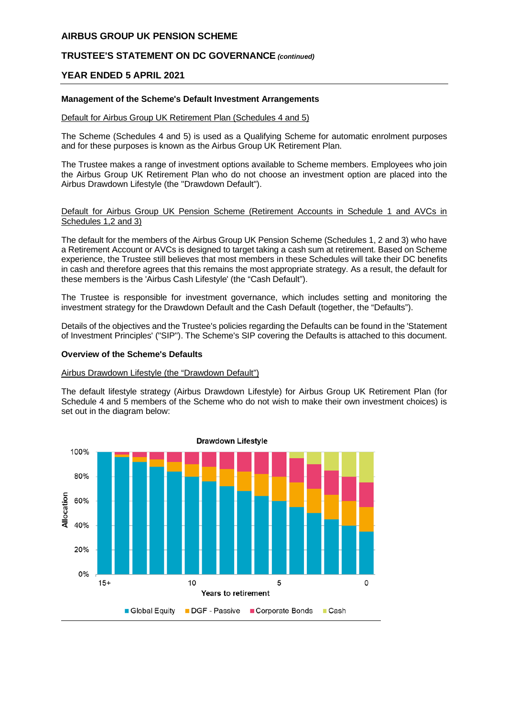# **TRUSTEE'S STATEMENT ON DC GOVERNANCE** *(continued)*

### **YEAR ENDED 5 APRIL 2021**

#### **Management of the Scheme's Default Investment Arrangements**

#### Default for Airbus Group UK Retirement Plan (Schedules 4 and 5)

The Scheme (Schedules 4 and 5) is used as a Qualifying Scheme for automatic enrolment purposes and for these purposes is known as the Airbus Group UK Retirement Plan.

The Trustee makes a range of investment options available to Scheme members. Employees who join the Airbus Group UK Retirement Plan who do not choose an investment option are placed into the Airbus Drawdown Lifestyle (the "Drawdown Default").

Default for Airbus Group UK Pension Scheme (Retirement Accounts in Schedule 1 and AVCs in Schedules 1,2 and 3)

The default for the members of the Airbus Group UK Pension Scheme (Schedules 1, 2 and 3) who have a Retirement Account or AVCs is designed to target taking a cash sum at retirement. Based on Scheme experience, the Trustee still believes that most members in these Schedules will take their DC benefits in cash and therefore agrees that this remains the most appropriate strategy. As a result, the default for these members is the 'Airbus Cash Lifestyle' (the "Cash Default").

The Trustee is responsible for investment governance, which includes setting and monitoring the investment strategy for the Drawdown Default and the Cash Default (together, the "Defaults").

Details of the objectives and the Trustee's policies regarding the Defaults can be found in the 'Statement of Investment Principles' ("SIP"). The Scheme's SIP covering the Defaults is attached to this document.

#### **Overview of the Scheme's Defaults**

#### Airbus Drawdown Lifestyle (the "Drawdown Default")

The default lifestyle strategy (Airbus Drawdown Lifestyle) for Airbus Group UK Retirement Plan (for Schedule 4 and 5 members of the Scheme who do not wish to make their own investment choices) is set out in the diagram below:

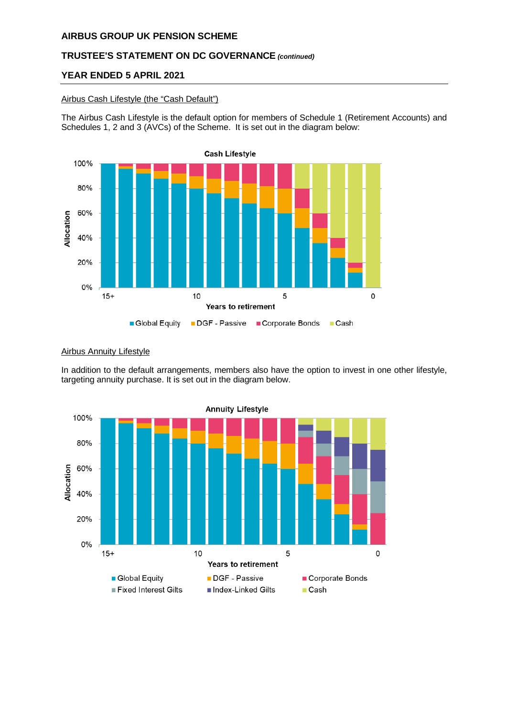# **TRUSTEE'S STATEMENT ON DC GOVERNANCE** *(continued)*

# **YEAR ENDED 5 APRIL 2021**

#### Airbus Cash Lifestyle (the "Cash Default")

The Airbus Cash Lifestyle is the default option for members of Schedule 1 (Retirement Accounts) and Schedules 1, 2 and 3 (AVCs) of the Scheme. It is set out in the diagram below:



#### Airbus Annuity Lifestyle

In addition to the default arrangements, members also have the option to invest in one other lifestyle, targeting annuity purchase. It is set out in the diagram below.

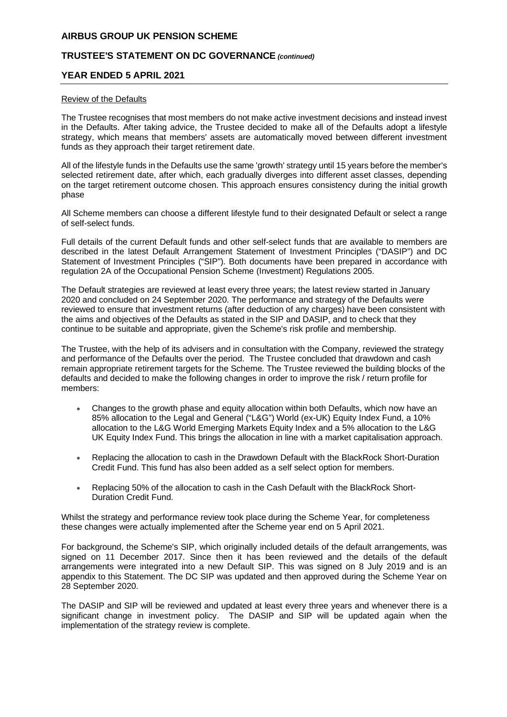# **TRUSTEE'S STATEMENT ON DC GOVERNANCE** *(continued)*

#### **YEAR ENDED 5 APRIL 2021**

#### Review of the Defaults

The Trustee recognises that most members do not make active investment decisions and instead invest in the Defaults. After taking advice, the Trustee decided to make all of the Defaults adopt a lifestyle strategy, which means that members' assets are automatically moved between different investment funds as they approach their target retirement date.

All of the lifestyle funds in the Defaults use the same 'growth' strategy until 15 years before the member's selected retirement date, after which, each gradually diverges into different asset classes, depending on the target retirement outcome chosen. This approach ensures consistency during the initial growth phase

All Scheme members can choose a different lifestyle fund to their designated Default or select a range of self-select funds.

Full details of the current Default funds and other self-select funds that are available to members are described in the latest Default Arrangement Statement of Investment Principles ("DASIP") and DC Statement of Investment Principles ("SIP"). Both documents have been prepared in accordance with regulation 2A of the Occupational Pension Scheme (Investment) Regulations 2005.

The Default strategies are reviewed at least every three years; the latest review started in January 2020 and concluded on 24 September 2020. The performance and strategy of the Defaults were reviewed to ensure that investment returns (after deduction of any charges) have been consistent with the aims and objectives of the Defaults as stated in the SIP and DASIP, and to check that they continue to be suitable and appropriate, given the Scheme's risk profile and membership.

The Trustee, with the help of its advisers and in consultation with the Company, reviewed the strategy and performance of the Defaults over the period. The Trustee concluded that drawdown and cash remain appropriate retirement targets for the Scheme. The Trustee reviewed the building blocks of the defaults and decided to make the following changes in order to improve the risk / return profile for members:

- Changes to the growth phase and equity allocation within both Defaults, which now have an 85% allocation to the Legal and General ("L&G") World (ex-UK) Equity Index Fund, a 10% allocation to the L&G World Emerging Markets Equity Index and a 5% allocation to the L&G UK Equity Index Fund. This brings the allocation in line with a market capitalisation approach.
- Replacing the allocation to cash in the Drawdown Default with the BlackRock Short-Duration Credit Fund. This fund has also been added as a self select option for members.
- Replacing 50% of the allocation to cash in the Cash Default with the BlackRock Short-Duration Credit Fund.

Whilst the strategy and performance review took place during the Scheme Year, for completeness these changes were actually implemented after the Scheme year end on 5 April 2021.

For background, the Scheme's SIP, which originally included details of the default arrangements, was signed on 11 December 2017. Since then it has been reviewed and the details of the default arrangements were integrated into a new Default SIP. This was signed on 8 July 2019 and is an appendix to this Statement. The DC SIP was updated and then approved during the Scheme Year on 28 September 2020.

The DASIP and SIP will be reviewed and updated at least every three years and whenever there is a significant change in investment policy. The DASIP and SIP will be updated again when the implementation of the strategy review is complete.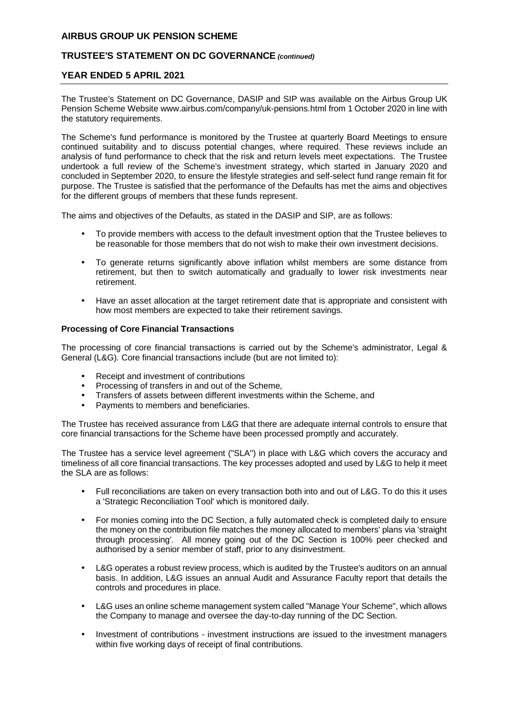# **TRUSTEE'S STATEMENT ON DC GOVERNANCE** *(continued)*

#### **YEAR ENDED 5 APRIL 2021**

The Trustee's Statement on DC Governance, DASIP and SIP was available on the Airbus Group UK Pension Scheme Website www.airbus.com/company/uk-pensions.html from 1 October 2020 in line with the statutory requirements.

The Scheme's fund performance is monitored by the Trustee at quarterly Board Meetings to ensure continued suitability and to discuss potential changes, where required. These reviews include an analysis of fund performance to check that the risk and return levels meet expectations. The Trustee undertook a full review of the Scheme's investment strategy, which started in January 2020 and concluded in September 2020, to ensure the lifestyle strategies and self-select fund range remain fit for purpose. The Trustee is satisfied that the performance of the Defaults has met the aims and objectives for the different groups of members that these funds represent.

The aims and objectives of the Defaults, as stated in the DASIP and SIP, are as follows:

- To provide members with access to the default investment option that the Trustee believes to be reasonable for those members that do not wish to make their own investment decisions.
- To generate returns significantly above inflation whilst members are some distance from retirement, but then to switch automatically and gradually to lower risk investments near retirement.
- Have an asset allocation at the target retirement date that is appropriate and consistent with how most members are expected to take their retirement savings.

#### **Processing of Core Financial Transactions**

The processing of core financial transactions is carried out by the Scheme's administrator, Legal & General (L&G). Core financial transactions include (but are not limited to):

- Receipt and investment of contributions
- Processing of transfers in and out of the Scheme,
- Transfers of assets between different investments within the Scheme, and
- Payments to members and beneficiaries.

The Trustee has received assurance from L&G that there are adequate internal controls to ensure that core financial transactions for the Scheme have been processed promptly and accurately.

The Trustee has a service level agreement ("SLA") in place with L&G which covers the accuracy and timeliness of all core financial transactions. The key processes adopted and used by L&G to help it meet the SLA are as follows:

- Full reconciliations are taken on every transaction both into and out of L&G. To do this it uses a 'Strategic Reconciliation Tool' which is monitored daily.
- For monies coming into the DC Section, a fully automated check is completed daily to ensure the money on the contribution file matches the money allocated to members' plans via 'straight through processing'. All money going out of the DC Section is 100% peer checked and authorised by a senior member of staff, prior to any disinvestment.
- L&G operates a robust review process, which is audited by the Trustee's auditors on an annual basis. In addition, L&G issues an annual Audit and Assurance Faculty report that details the controls and procedures in place.
- L&G uses an online scheme management system called "Manage Your Scheme", which allows the Company to manage and oversee the day-to-day running of the DC Section.
- Investment of contributions investment instructions are issued to the investment managers within five working days of receipt of final contributions.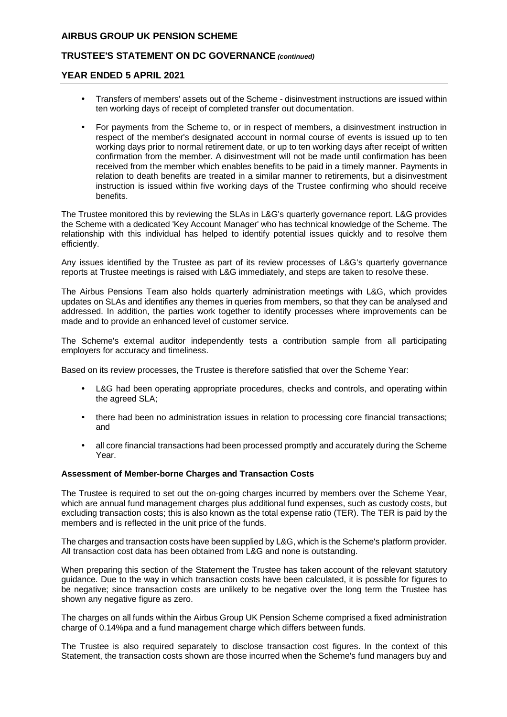# **TRUSTEE'S STATEMENT ON DC GOVERNANCE** *(continued)*

#### **YEAR ENDED 5 APRIL 2021**

- Transfers of members' assets out of the Scheme disinvestment instructions are issued within ten working days of receipt of completed transfer out documentation.
- For payments from the Scheme to, or in respect of members, a disinvestment instruction in respect of the member's designated account in normal course of events is issued up to ten working days prior to normal retirement date, or up to ten working days after receipt of written confirmation from the member. A disinvestment will not be made until confirmation has been received from the member which enables benefits to be paid in a timely manner. Payments in relation to death benefits are treated in a similar manner to retirements, but a disinvestment instruction is issued within five working days of the Trustee confirming who should receive benefits.

The Trustee monitored this by reviewing the SLAs in L&G's quarterly governance report. L&G provides the Scheme with a dedicated 'Key Account Manager' who has technical knowledge of the Scheme. The relationship with this individual has helped to identify potential issues quickly and to resolve them efficiently.

Any issues identified by the Trustee as part of its review processes of L&G's quarterly governance reports at Trustee meetings is raised with L&G immediately, and steps are taken to resolve these.

The Airbus Pensions Team also holds quarterly administration meetings with L&G, which provides updates on SLAs and identifies any themes in queries from members, so that they can be analysed and addressed. In addition, the parties work together to identify processes where improvements can be made and to provide an enhanced level of customer service.

The Scheme's external auditor independently tests a contribution sample from all participating employers for accuracy and timeliness.

Based on its review processes, the Trustee is therefore satisfied that over the Scheme Year:

- L&G had been operating appropriate procedures, checks and controls, and operating within the agreed SLA;
- there had been no administration issues in relation to processing core financial transactions; and
- all core financial transactions had been processed promptly and accurately during the Scheme Year.

#### **Assessment of Member-borne Charges and Transaction Costs**

The Trustee is required to set out the on-going charges incurred by members over the Scheme Year, which are annual fund management charges plus additional fund expenses, such as custody costs, but excluding transaction costs; this is also known as the total expense ratio (TER). The TER is paid by the members and is reflected in the unit price of the funds.

The charges and transaction costs have been supplied by L&G, which is the Scheme's platform provider. All transaction cost data has been obtained from L&G and none is outstanding.

When preparing this section of the Statement the Trustee has taken account of the relevant statutory guidance. Due to the way in which transaction costs have been calculated, it is possible for figures to be negative; since transaction costs are unlikely to be negative over the long term the Trustee has shown any negative figure as zero.

The charges on all funds within the Airbus Group UK Pension Scheme comprised a fixed administration charge of 0.14%pa and a fund management charge which differs between funds.

The Trustee is also required separately to disclose transaction cost figures. In the context of this Statement, the transaction costs shown are those incurred when the Scheme's fund managers buy and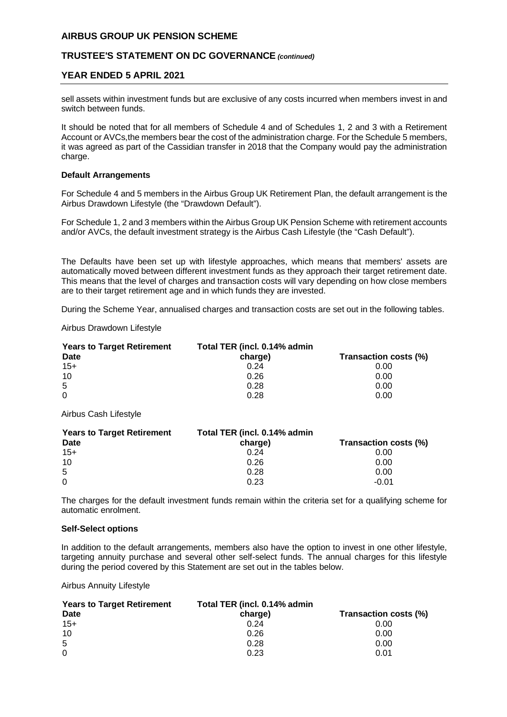# **TRUSTEE'S STATEMENT ON DC GOVERNANCE** *(continued)*

### **YEAR ENDED 5 APRIL 2021**

sell assets within investment funds but are exclusive of any costs incurred when members invest in and switch between funds.

It should be noted that for all members of Schedule 4 and of Schedules 1, 2 and 3 with a Retirement Account or AVCs,the members bear the cost of the administration charge. For the Schedule 5 members, it was agreed as part of the Cassidian transfer in 2018 that the Company would pay the administration charge.

#### **Default Arrangements**

For Schedule 4 and 5 members in the Airbus Group UK Retirement Plan, the default arrangement is the Airbus Drawdown Lifestyle (the "Drawdown Default").

For Schedule 1, 2 and 3 members within the Airbus Group UK Pension Scheme with retirement accounts and/or AVCs, the default investment strategy is the Airbus Cash Lifestyle (the "Cash Default").

The Defaults have been set up with lifestyle approaches, which means that members' assets are automatically moved between different investment funds as they approach their target retirement date. This means that the level of charges and transaction costs will vary depending on how close members are to their target retirement age and in which funds they are invested.

During the Scheme Year, annualised charges and transaction costs are set out in the following tables.

Airbus Drawdown Lifestyle

| <b>Years to Target Retirement</b> | Total TER (incl. 0.14% admin |                       |
|-----------------------------------|------------------------------|-----------------------|
| Date                              | charge)                      | Transaction costs (%) |
| $15+$                             | 0.24                         | 0.00                  |
| 10                                | 0.26                         | 0.00                  |
| 5                                 | 0.28                         | 0.00                  |
| $\Omega$                          | 0.28                         | 0.00                  |

Airbus Cash Lifestyle

| <b>Years to Target Retirement</b> | Total TER (incl. 0.14% admin |                       |
|-----------------------------------|------------------------------|-----------------------|
| Date                              | charge)                      | Transaction costs (%) |
| $15+$                             | 0.24                         | 0.00                  |
| 10                                | 0.26                         | 0.00                  |
| -5                                | 0.28                         | 0.00                  |
| $\Omega$                          | 0.23                         | $-0.01$               |

The charges for the default investment funds remain within the criteria set for a qualifying scheme for automatic enrolment.

#### **Self-Select options**

In addition to the default arrangements, members also have the option to invest in one other lifestyle, targeting annuity purchase and several other self-select funds. The annual charges for this lifestyle during the period covered by this Statement are set out in the tables below.

Airbus Annuity Lifestyle

| <b>Years to Target Retirement</b> | Total TER (incl. 0.14% admin |                       |
|-----------------------------------|------------------------------|-----------------------|
| Date                              | charge)                      | Transaction costs (%) |
| $15+$                             | 0.24                         | 0.00                  |
| 10                                | 0.26                         | 0.00                  |
| -5                                | 0.28                         | 0.00                  |
| $\Omega$                          | 0.23                         | 0.01                  |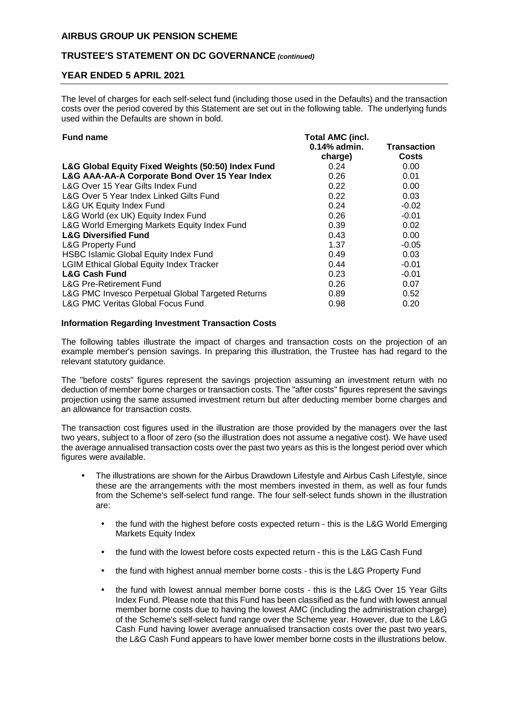# **TRUSTEE'S STATEMENT ON DC GOVERNANCE** *(continued)*

# **YEAR ENDED 5 APRIL 2021**

The level of charges for each self-select fund (including those used in the Defaults) and the transaction costs over the period covered by this Statement are set out in the following table. The underlying funds used within the Defaults are shown in bold.

| <b>Total AMC (incl.</b> |                    |  |  |
|-------------------------|--------------------|--|--|
| $0.14\%$ admin.         | <b>Transaction</b> |  |  |
| charge)                 | <b>Costs</b>       |  |  |
| 0.24                    | 0.00               |  |  |
| 0.26                    | 0.01               |  |  |
| 0.22                    | 0.00               |  |  |
| 0.22                    | 0.03               |  |  |
| 0.24                    | $-0.02$            |  |  |
| 0.26                    | $-0.01$            |  |  |
| 0.39                    | 0.02               |  |  |
| 0.43                    | 0.00               |  |  |
| 1.37                    | $-0.05$            |  |  |
| 0.49                    | 0.03               |  |  |
| 0.44                    | $-0.01$            |  |  |
| 0.23                    | $-0.01$            |  |  |
| 0.26                    | 0.07               |  |  |
| 0.89                    | 0.52               |  |  |
| 0.98                    | 0.20               |  |  |
|                         |                    |  |  |

#### **Information Regarding Investment Transaction Costs**

The following tables illustrate the impact of charges and transaction costs on the projection of an example member's pension savings. In preparing this illustration, the Trustee has had regard to the relevant statutory guidance.

The "before costs" figures represent the savings projection assuming an investment return with no deduction of member borne charges or transaction costs. The "after costs" figures represent the savings projection using the same assumed investment return but after deducting member borne charges and an allowance for transaction costs.

The transaction cost figures used in the illustration are those provided by the managers over the last two years, subject to a floor of zero (so the illustration does not assume a negative cost). We have used the average annualised transaction costs over the past two years as this is the longest period over which figures were available.

- The illustrations are shown for the Airbus Drawdown Lifestyle and Airbus Cash Lifestyle, since these are the arrangements with the most members invested in them, as well as four funds from the Scheme's self-select fund range. The four self-select funds shown in the illustration are:
	- the fund with the highest before costs expected return this is the L&G World Emerging Markets Equity Index
	- the fund with the lowest before costs expected return this is the L&G Cash Fund
	- the fund with highest annual member borne costs this is the L&G Property Fund
	- the fund with lowest annual member borne costs this is the L&G Over 15 Year Gilts Index Fund. Please note that this Fund has been classified as the fund with lowest annual member borne costs due to having the lowest AMC (including the administration charge) of the Scheme's self-select fund range over the Scheme year. However, due to the L&G Cash Fund having lower average annualised transaction costs over the past two years, the L&G Cash Fund appears to have lower member borne costs in the illustrations below.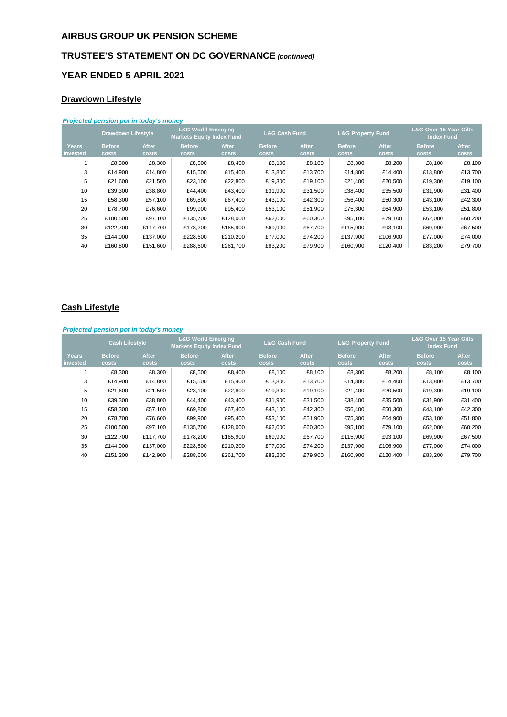# **TRUSTEE'S STATEMENT ON DC GOVERNANCE** *(continued)*

# **YEAR ENDED 5 APRIL 2021**

# **Drawdown Lifestyle**

| Projected pension pot in today's money |                           |                       |                                                                   |                       |                          |                       |                              |                       |                                                        |                       |
|----------------------------------------|---------------------------|-----------------------|-------------------------------------------------------------------|-----------------------|--------------------------|-----------------------|------------------------------|-----------------------|--------------------------------------------------------|-----------------------|
|                                        | <b>Drawdown Lifestyle</b> |                       | <b>L&amp;G World Emerging</b><br><b>Markets Equity Index Fund</b> |                       | <b>L&amp;G Cash Fund</b> |                       | <b>L&amp;G Property Fund</b> |                       | <b>L&amp;G Over 15 Year Gilts</b><br><b>Index Fund</b> |                       |
| <b>Years</b><br>invested               | <b>Before</b><br>costs    | <b>After</b><br>costs | <b>Before</b><br>costs                                            | <b>After</b><br>costs | <b>Before</b><br>costs   | <b>After</b><br>costs | <b>Before</b><br>costs       | <b>After</b><br>costs | <b>Before</b><br>costs                                 | <b>After</b><br>costs |
|                                        | £8,300                    | £8,300                | £8,500                                                            | £8,400                | £8,100                   | £8,100                | £8,300                       | £8,200                | £8,100                                                 | £8,100                |
| 3                                      | £14,900                   | £14,800               | £15,500                                                           | £15,400               | £13,800                  | £13,700               | £14,800                      | £14,400               | £13,800                                                | £13,700               |
| 5                                      | £21,600                   | £21,500               | £23,100                                                           | £22,800               | £19,300                  | £19,100               | £21,400                      | £20,500               | £19,300                                                | £19,100               |
| 10                                     | £39,300                   | £38,800               | £44,400                                                           | £43,400               | £31,900                  | £31,500               | £38,400                      | £35,500               | £31,900                                                | £31,400               |
| 15                                     | £58,300                   | £57,100               | £69,800                                                           | £67,400               | £43,100                  | £42,300               | £56,400                      | £50,300               | £43,100                                                | £42,300               |
| 20                                     | £78.700                   | £76,600               | £99,900                                                           | £95,400               | £53,100                  | £51,900               | £75,300                      | £64,900               | £53,100                                                | £51,800               |
| 25                                     | £100,500                  | £97,100               | £135,700                                                          | £128,000              | £62,000                  | £60,300               | £95,100                      | £79,100               | £62,000                                                | £60,200               |
| 30                                     | £122.700                  | £117,700              | £178.200                                                          | £165,900              | £69,900                  | £67,700               | £115,900                     | £93,100               | £69,900                                                | £67,500               |
| 35                                     | £144.000                  | £137,000              | £228,600                                                          | £210,200              | £77,000                  | £74,200               | £137,900                     | £106,900              | £77,000                                                | £74,000               |
| 40                                     | £160,800                  | £151,600              | £288.600                                                          | £261,700              | £83,200                  | £79,900               | £160,900                     | £120,400              | £83,200                                                | £79,700               |

# **Cash Lifestyle**

| Projected pension pot in today's money |                       |              |                                                                   |              |                          |              |                              |              |                                                        |              |
|----------------------------------------|-----------------------|--------------|-------------------------------------------------------------------|--------------|--------------------------|--------------|------------------------------|--------------|--------------------------------------------------------|--------------|
|                                        | <b>Cash Lifestyle</b> |              | <b>L&amp;G World Emerging</b><br><b>Markets Equity Index Fund</b> |              | <b>L&amp;G Cash Fund</b> |              | <b>L&amp;G Property Fund</b> |              | <b>L&amp;G Over 15 Year Gilts</b><br><b>Index Fund</b> |              |
| <b>Years</b>                           | <b>Before</b>         | <b>After</b> | <b>Before</b>                                                     | <b>After</b> | <b>Before</b>            | <b>After</b> | <b>Before</b>                | <b>After</b> | <b>Before</b>                                          | <b>After</b> |
| invested                               | costs                 | costs        | costs                                                             | costs        | <b>costs</b>             | costs        | costs                        | costs        | costs                                                  | costs        |
|                                        | £8,300                | £8,300       | £8,500                                                            | £8,400       | £8,100                   | £8,100       | £8,300                       | £8,200       | £8,100                                                 | £8,100       |
| 3                                      | £14.900               | £14,800      | £15,500                                                           | £15,400      | £13,800                  | £13,700      | £14,800                      | £14,400      | £13,800                                                | £13,700      |
| 5                                      | £21.600               | £21,500      | £23,100                                                           | £22,800      | £19,300                  | £19,100      | £21,400                      | £20,500      | £19,300                                                | £19,100      |
| 10                                     | £39,300               | £38,800      | £44,400                                                           | £43,400      | £31,900                  | £31,500      | £38,400                      | £35,500      | £31,900                                                | £31,400      |
| 15                                     | £58,300               | £57,100      | £69,800                                                           | £67,400      | £43,100                  | £42,300      | £56,400                      | £50,300      | £43,100                                                | £42,300      |
| 20                                     | £78,700               | £76,600      | £99,900                                                           | £95,400      | £53,100                  | £51,900      | £75,300                      | £64,900      | £53,100                                                | £51,800      |
| 25                                     | £100.500              | £97,100      | £135.700                                                          | £128,000     | £62,000                  | £60,300      | £95,100                      | £79,100      | £62,000                                                | £60,200      |
| 30                                     | £122.700              | £117,700     | £178,200                                                          | £165,900     | £69,900                  | £67,700      | £115,900                     | £93,100      | £69,900                                                | £67,500      |
| 35                                     | £144.000              | £137,000     | £228,600                                                          | £210,200     | £77,000                  | £74,200      | £137,900                     | £106,900     | £77,000                                                | £74,000      |
| 40                                     | £151.200              | £142,900     | £288,600                                                          | £261,700     | £83,200                  | £79,900      | £160,900                     | £120,400     | £83,200                                                | £79,700      |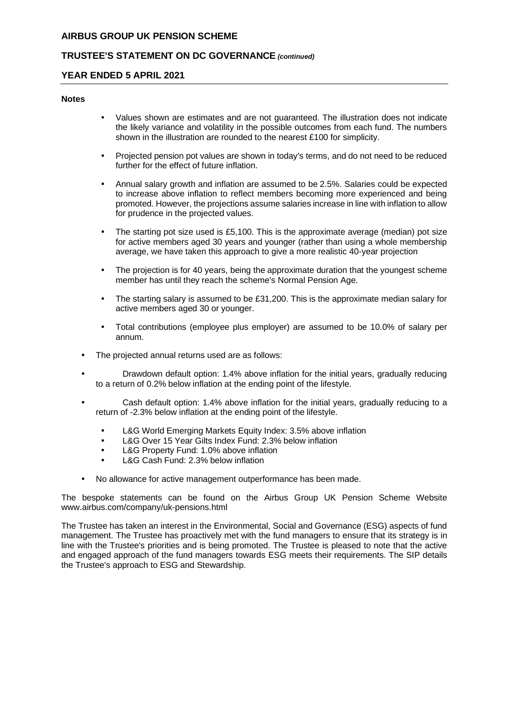# **TRUSTEE'S STATEMENT ON DC GOVERNANCE** *(continued)*

# **YEAR ENDED 5 APRIL 2021**

#### **Notes**

- Values shown are estimates and are not guaranteed. The illustration does not indicate the likely variance and volatility in the possible outcomes from each fund. The numbers shown in the illustration are rounded to the nearest £100 for simplicity.
- Projected pension pot values are shown in today's terms, and do not need to be reduced further for the effect of future inflation.
- Annual salary growth and inflation are assumed to be 2.5%. Salaries could be expected to increase above inflation to reflect members becoming more experienced and being promoted. However, the projections assume salaries increase in line with inflation to allow for prudence in the projected values.
- The starting pot size used is £5,100. This is the approximate average (median) pot size for active members aged 30 years and younger (rather than using a whole membership average, we have taken this approach to give a more realistic 40-year projection
- The projection is for 40 years, being the approximate duration that the youngest scheme member has until they reach the scheme's Normal Pension Age.
- The starting salary is assumed to be £31,200. This is the approximate median salary for active members aged 30 or younger.
- Total contributions (employee plus employer) are assumed to be 10.0% of salary per annum.
- The projected annual returns used are as follows:
- Drawdown default option: 1.4% above inflation for the initial years, gradually reducing to a return of 0.2% below inflation at the ending point of the lifestyle.
- Cash default option: 1.4% above inflation for the initial years, gradually reducing to a return of -2.3% below inflation at the ending point of the lifestyle.
	- L&G World Emerging Markets Equity Index: 3.5% above inflation
	- L&G Over 15 Year Gilts Index Fund: 2.3% below inflation
	- L&G Property Fund: 1.0% above inflation
	- L&G Cash Fund: 2.3% below inflation
- No allowance for active management outperformance has been made.

The bespoke statements can be found on the Airbus Group UK Pension Scheme Website www.airbus.com/company/uk-pensions.html

The Trustee has taken an interest in the Environmental, Social and Governance (ESG) aspects of fund management. The Trustee has proactively met with the fund managers to ensure that its strategy is in line with the Trustee's priorities and is being promoted. The Trustee is pleased to note that the active and engaged approach of the fund managers towards ESG meets their requirements. The SIP details the Trustee's approach to ESG and Stewardship.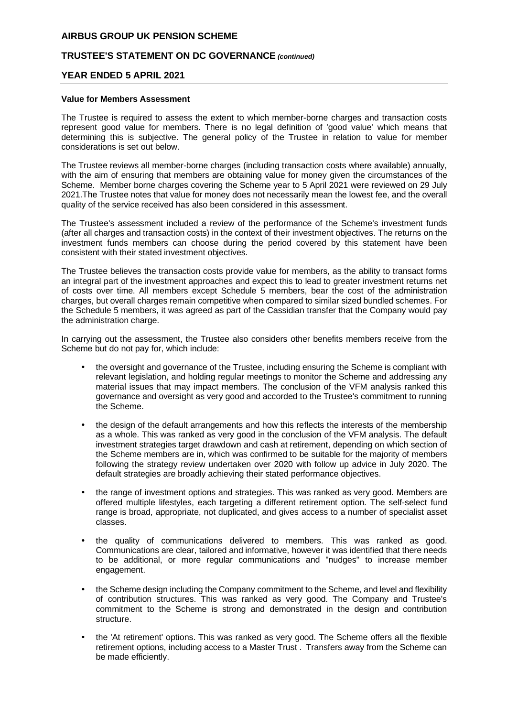# **TRUSTEE'S STATEMENT ON DC GOVERNANCE** *(continued)*

#### **YEAR ENDED 5 APRIL 2021**

#### **Value for Members Assessment**

The Trustee is required to assess the extent to which member-borne charges and transaction costs represent good value for members. There is no legal definition of 'good value' which means that determining this is subjective. The general policy of the Trustee in relation to value for member considerations is set out below.

The Trustee reviews all member-borne charges (including transaction costs where available) annually, with the aim of ensuring that members are obtaining value for money given the circumstances of the Scheme. Member borne charges covering the Scheme year to 5 April 2021 were reviewed on 29 July 2021.The Trustee notes that value for money does not necessarily mean the lowest fee, and the overall quality of the service received has also been considered in this assessment.

The Trustee's assessment included a review of the performance of the Scheme's investment funds (after all charges and transaction costs) in the context of their investment objectives. The returns on the investment funds members can choose during the period covered by this statement have been consistent with their stated investment objectives.

The Trustee believes the transaction costs provide value for members, as the ability to transact forms an integral part of the investment approaches and expect this to lead to greater investment returns net of costs over time. All members except Schedule 5 members, bear the cost of the administration charges, but overall charges remain competitive when compared to similar sized bundled schemes. For the Schedule 5 members, it was agreed as part of the Cassidian transfer that the Company would pay the administration charge.

In carrying out the assessment, the Trustee also considers other benefits members receive from the Scheme but do not pay for, which include:

- the oversight and governance of the Trustee, including ensuring the Scheme is compliant with relevant legislation, and holding regular meetings to monitor the Scheme and addressing any material issues that may impact members. The conclusion of the VFM analysis ranked this governance and oversight as very good and accorded to the Trustee's commitment to running the Scheme.
- the design of the default arrangements and how this reflects the interests of the membership as a whole. This was ranked as very good in the conclusion of the VFM analysis. The default investment strategies target drawdown and cash at retirement, depending on which section of the Scheme members are in, which was confirmed to be suitable for the majority of members following the strategy review undertaken over 2020 with follow up advice in July 2020. The default strategies are broadly achieving their stated performance objectives.
- the range of investment options and strategies. This was ranked as very good. Members are offered multiple lifestyles, each targeting a different retirement option. The self-select fund range is broad, appropriate, not duplicated, and gives access to a number of specialist asset classes.
- the quality of communications delivered to members. This was ranked as good. Communications are clear, tailored and informative, however it was identified that there needs to be additional, or more regular communications and "nudges" to increase member engagement.
- the Scheme design including the Company commitment to the Scheme, and level and flexibility of contribution structures. This was ranked as very good. The Company and Trustee's commitment to the Scheme is strong and demonstrated in the design and contribution structure.
- the 'At retirement' options. This was ranked as very good. The Scheme offers all the flexible retirement options, including access to a Master Trust . Transfers away from the Scheme can be made efficiently.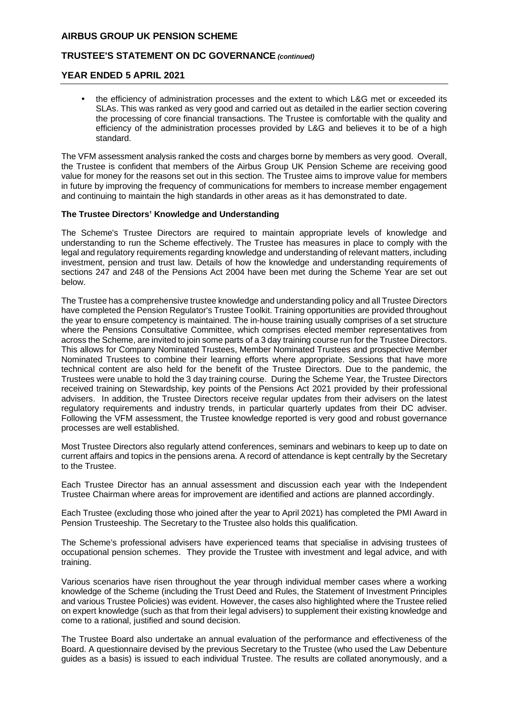# **TRUSTEE'S STATEMENT ON DC GOVERNANCE** *(continued)*

#### **YEAR ENDED 5 APRIL 2021**

 the efficiency of administration processes and the extent to which L&G met or exceeded its SLAs. This was ranked as very good and carried out as detailed in the earlier section covering the processing of core financial transactions. The Trustee is comfortable with the quality and efficiency of the administration processes provided by L&G and believes it to be of a high standard.

The VFM assessment analysis ranked the costs and charges borne by members as very good. Overall, the Trustee is confident that members of the Airbus Group UK Pension Scheme are receiving good value for money for the reasons set out in this section. The Trustee aims to improve value for members in future by improving the frequency of communications for members to increase member engagement and continuing to maintain the high standards in other areas as it has demonstrated to date.

#### **The Trustee Directors' Knowledge and Understanding**

The Scheme's Trustee Directors are required to maintain appropriate levels of knowledge and understanding to run the Scheme effectively. The Trustee has measures in place to comply with the legal and regulatory requirements regarding knowledge and understanding of relevant matters, including investment, pension and trust law. Details of how the knowledge and understanding requirements of sections 247 and 248 of the Pensions Act 2004 have been met during the Scheme Year are set out below.

The Trustee has a comprehensive trustee knowledge and understanding policy and all Trustee Directors have completed the Pension Regulator's Trustee Toolkit. Training opportunities are provided throughout the year to ensure competency is maintained. The in-house training usually comprises of a set structure where the Pensions Consultative Committee, which comprises elected member representatives from across the Scheme, are invited to join some parts of a 3 day training course run for the Trustee Directors. This allows for Company Nominated Trustees, Member Nominated Trustees and prospective Member Nominated Trustees to combine their learning efforts where appropriate. Sessions that have more technical content are also held for the benefit of the Trustee Directors. Due to the pandemic, the Trustees were unable to hold the 3 day training course. During the Scheme Year, the Trustee Directors received training on Stewardship, key points of the Pensions Act 2021 provided by their professional advisers. In addition, the Trustee Directors receive regular updates from their advisers on the latest regulatory requirements and industry trends, in particular quarterly updates from their DC adviser. Following the VFM assessment, the Trustee knowledge reported is very good and robust governance processes are well established.

Most Trustee Directors also regularly attend conferences, seminars and webinars to keep up to date on current affairs and topics in the pensions arena. A record of attendance is kept centrally by the Secretary to the Trustee.

Each Trustee Director has an annual assessment and discussion each year with the Independent Trustee Chairman where areas for improvement are identified and actions are planned accordingly.

Each Trustee (excluding those who joined after the year to April 2021) has completed the PMI Award in Pension Trusteeship. The Secretary to the Trustee also holds this qualification.

The Scheme's professional advisers have experienced teams that specialise in advising trustees of occupational pension schemes. They provide the Trustee with investment and legal advice, and with training.

Various scenarios have risen throughout the year through individual member cases where a working knowledge of the Scheme (including the Trust Deed and Rules, the Statement of Investment Principles and various Trustee Policies) was evident. However, the cases also highlighted where the Trustee relied on expert knowledge (such as that from their legal advisers) to supplement their existing knowledge and come to a rational, justified and sound decision.

The Trustee Board also undertake an annual evaluation of the performance and effectiveness of the Board. A questionnaire devised by the previous Secretary to the Trustee (who used the Law Debenture guides as a basis) is issued to each individual Trustee. The results are collated anonymously, and a